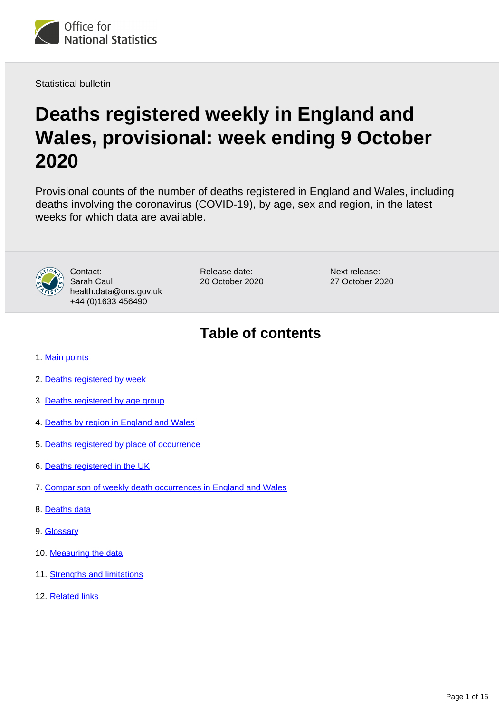

Statistical bulletin

# **Deaths registered weekly in England and Wales, provisional: week ending 9 October 2020**

Provisional counts of the number of deaths registered in England and Wales, including deaths involving the coronavirus (COVID-19), by age, sex and region, in the latest weeks for which data are available.



Contact: Sarah Caul health.data@ons.gov.uk +44 (0)1633 456490

Release date: 20 October 2020 Next release: 27 October 2020

## **Table of contents**

- 1. [Main points](#page-1-0)
- 2. [Deaths registered by week](#page-1-1)
- 3. [Deaths registered by age group](#page-2-0)
- 4. [Deaths by region in England and Wales](#page-4-0)
- 5. [Deaths registered by place of occurrence](#page-5-0)
- 6. [Deaths registered in the UK](#page-9-0)
- 7. [Comparison of weekly death occurrences in England and Wales](#page-10-0)
- 8. [Deaths data](#page-10-1)
- 9. [Glossary](#page-11-0)
- 10. [Measuring the data](#page-11-1)
- 11. [Strengths and limitations](#page-15-0)
- 12. [Related links](#page-15-1)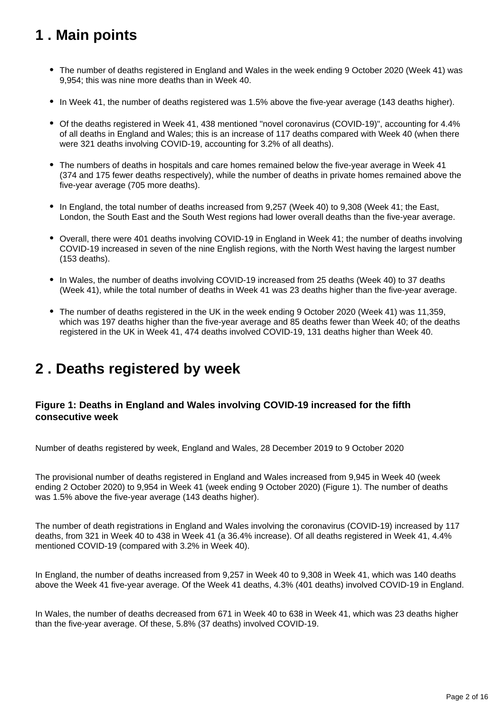## <span id="page-1-0"></span>**1 . Main points**

- The number of deaths registered in England and Wales in the week ending 9 October 2020 (Week 41) was 9,954; this was nine more deaths than in Week 40.
- In Week 41, the number of deaths registered was 1.5% above the five-year average (143 deaths higher).
- Of the deaths registered in Week 41, 438 mentioned "novel coronavirus (COVID-19)", accounting for 4.4% of all deaths in England and Wales; this is an increase of 117 deaths compared with Week 40 (when there were 321 deaths involving COVID-19, accounting for 3.2% of all deaths).
- The numbers of deaths in hospitals and care homes remained below the five-year average in Week 41 (374 and 175 fewer deaths respectively), while the number of deaths in private homes remained above the five-year average (705 more deaths).
- In England, the total number of deaths increased from 9,257 (Week 40) to 9,308 (Week 41; the East, London, the South East and the South West regions had lower overall deaths than the five-year average.
- Overall, there were 401 deaths involving COVID-19 in England in Week 41; the number of deaths involving COVID-19 increased in seven of the nine English regions, with the North West having the largest number (153 deaths).
- In Wales, the number of deaths involving COVID-19 increased from 25 deaths (Week 40) to 37 deaths (Week 41), while the total number of deaths in Week 41 was 23 deaths higher than the five-year average.
- The number of deaths registered in the UK in the week ending 9 October 2020 (Week 41) was 11,359, which was 197 deaths higher than the five-year average and 85 deaths fewer than Week 40; of the deaths registered in the UK in Week 41, 474 deaths involved COVID-19, 131 deaths higher than Week 40.

## <span id="page-1-1"></span>**2 . Deaths registered by week**

### **Figure 1: Deaths in England and Wales involving COVID-19 increased for the fifth consecutive week**

Number of deaths registered by week, England and Wales, 28 December 2019 to 9 October 2020

The provisional number of deaths registered in England and Wales increased from 9,945 in Week 40 (week ending 2 October 2020) to 9,954 in Week 41 (week ending 9 October 2020) (Figure 1). The number of deaths was 1.5% above the five-year average (143 deaths higher).

The number of death registrations in England and Wales involving the coronavirus (COVID-19) increased by 117 deaths, from 321 in Week 40 to 438 in Week 41 (a 36.4% increase). Of all deaths registered in Week 41, 4.4% mentioned COVID-19 (compared with 3.2% in Week 40).

In England, the number of deaths increased from 9,257 in Week 40 to 9,308 in Week 41, which was 140 deaths above the Week 41 five-year average. Of the Week 41 deaths, 4.3% (401 deaths) involved COVID-19 in England.

In Wales, the number of deaths decreased from 671 in Week 40 to 638 in Week 41, which was 23 deaths higher than the five-year average. Of these, 5.8% (37 deaths) involved COVID-19.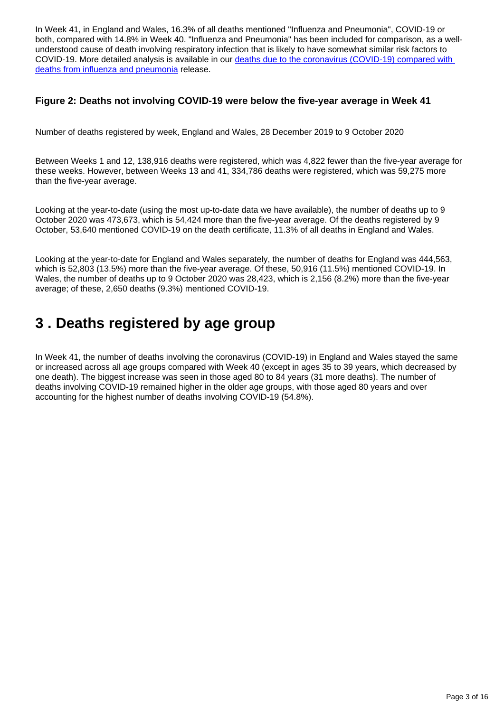In Week 41, in England and Wales, 16.3% of all deaths mentioned "Influenza and Pneumonia", COVID-19 or both, compared with 14.8% in Week 40. "Influenza and Pneumonia" has been included for comparison, as a wellunderstood cause of death involving respiratory infection that is likely to have somewhat similar risk factors to COVID-19. More detailed analysis is available in our deaths due to the coronavirus (COVID-19) compared with [deaths from influenza and pneumonia](https://www.ons.gov.uk/peoplepopulationandcommunity/birthsdeathsandmarriages/deaths/bulletins/deathsduetocoronaviruscovid19comparedwithdeathsfrominfluenzaandpneumoniaenglandandwales/deathsoccurringbetween1januaryand31august2020) release.

#### **Figure 2: Deaths not involving COVID-19 were below the five-year average in Week 41**

Number of deaths registered by week, England and Wales, 28 December 2019 to 9 October 2020

Between Weeks 1 and 12, 138,916 deaths were registered, which was 4,822 fewer than the five-year average for these weeks. However, between Weeks 13 and 41, 334,786 deaths were registered, which was 59,275 more than the five-year average.

Looking at the year-to-date (using the most up-to-date data we have available), the number of deaths up to 9 October 2020 was 473,673, which is 54,424 more than the five-year average. Of the deaths registered by 9 October, 53,640 mentioned COVID-19 on the death certificate, 11.3% of all deaths in England and Wales.

Looking at the year-to-date for England and Wales separately, the number of deaths for England was 444,563, which is 52,803 (13.5%) more than the five-year average. Of these, 50,916 (11.5%) mentioned COVID-19. In Wales, the number of deaths up to 9 October 2020 was 28,423, which is 2,156 (8.2%) more than the five-year average; of these, 2,650 deaths (9.3%) mentioned COVID-19.

## <span id="page-2-0"></span>**3 . Deaths registered by age group**

In Week 41, the number of deaths involving the coronavirus (COVID-19) in England and Wales stayed the same or increased across all age groups compared with Week 40 (except in ages 35 to 39 years, which decreased by one death). The biggest increase was seen in those aged 80 to 84 years (31 more deaths). The number of deaths involving COVID-19 remained higher in the older age groups, with those aged 80 years and over accounting for the highest number of deaths involving COVID-19 (54.8%).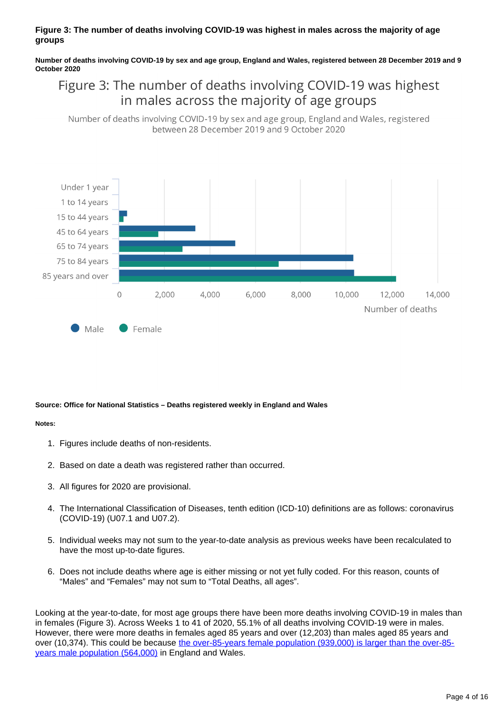#### **Figure 3: The number of deaths involving COVID-19 was highest in males across the majority of age groups**

**Number of deaths involving COVID-19 by sex and age group, England and Wales, registered between 28 December 2019 and 9 October 2020**

### Figure 3: The number of deaths involving COVID-19 was highest in males across the majority of age groups

Number of deaths involving COVID-19 by sex and age group, England and Wales, registered between 28 December 2019 and 9 October 2020



#### **Source: Office for National Statistics – Deaths registered weekly in England and Wales**

#### **Notes:**

- 1. Figures include deaths of non-residents.
- 2. Based on date a death was registered rather than occurred.
- 3. All figures for 2020 are provisional.
- 4. The International Classification of Diseases, tenth edition (ICD-10) definitions are as follows: coronavirus (COVID-19) (U07.1 and U07.2).
- 5. Individual weeks may not sum to the year-to-date analysis as previous weeks have been recalculated to have the most up-to-date figures.
- 6. Does not include deaths where age is either missing or not yet fully coded. For this reason, counts of "Males" and "Females" may not sum to "Total Deaths, all ages".

Looking at the year-to-date, for most age groups there have been more deaths involving COVID-19 in males than in females (Figure 3). Across Weeks 1 to 41 of 2020, 55.1% of all deaths involving COVID-19 were in males. However, there were more deaths in females aged 85 years and over (12,203) than males aged 85 years and over (10,374). This could be because [the over-85-years female population \(939,000\) is larger than the over-85](https://www.ons.gov.uk/peoplepopulationandcommunity/populationandmigration/populationprojections/datasets/2014basednationalpopulationprojectionstableofcontents) [years male population \(564,000\)](https://www.ons.gov.uk/peoplepopulationandcommunity/populationandmigration/populationprojections/datasets/2014basednationalpopulationprojectionstableofcontents) in England and Wales.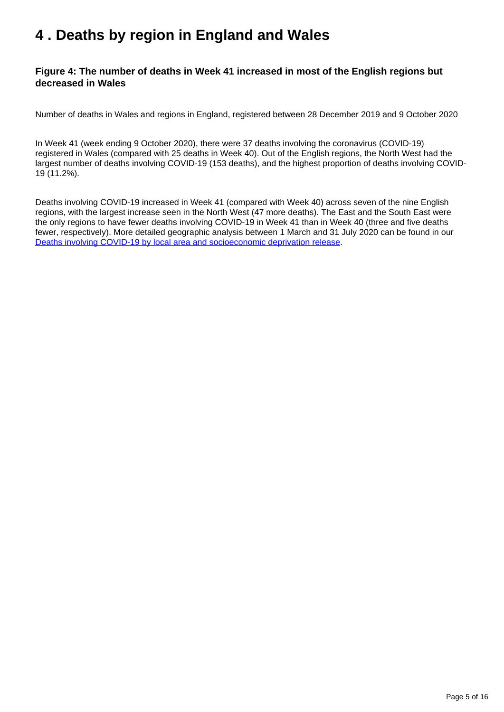## <span id="page-4-0"></span>**4 . Deaths by region in England and Wales**

### **Figure 4: The number of deaths in Week 41 increased in most of the English regions but decreased in Wales**

Number of deaths in Wales and regions in England, registered between 28 December 2019 and 9 October 2020

In Week 41 (week ending 9 October 2020), there were 37 deaths involving the coronavirus (COVID-19) registered in Wales (compared with 25 deaths in Week 40). Out of the English regions, the North West had the largest number of deaths involving COVID-19 (153 deaths), and the highest proportion of deaths involving COVID-19 (11.2%).

Deaths involving COVID-19 increased in Week 41 (compared with Week 40) across seven of the nine English regions, with the largest increase seen in the North West (47 more deaths). The East and the South East were the only regions to have fewer deaths involving COVID-19 in Week 41 than in Week 40 (three and five deaths fewer, respectively). More detailed geographic analysis between 1 March and 31 July 2020 can be found in our [Deaths involving COVID-19 by local area and socioeconomic deprivation release](https://www.ons.gov.uk/peoplepopulationandcommunity/birthsdeathsandmarriages/deaths/bulletins/deathsinvolvingcovid19bylocalareasanddeprivation/deathsoccurringbetween1marchand31july2020).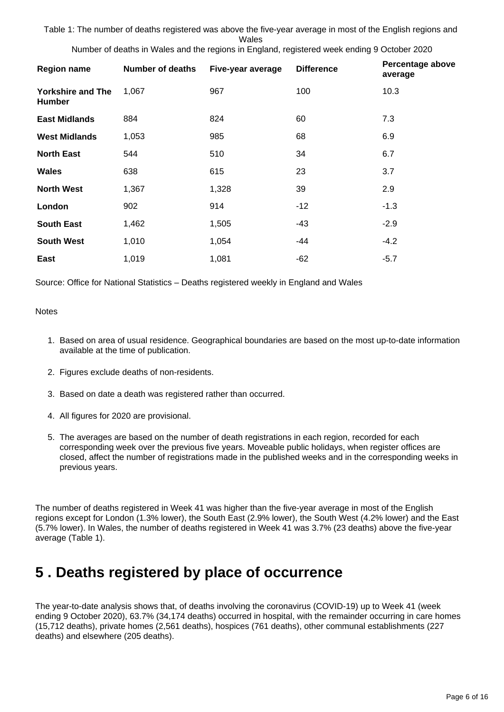Table 1: The number of deaths registered was above the five-year average in most of the English regions and Wales

| <b>Region name</b>                        | <b>Number of deaths</b> | Five-year average | <b>Difference</b> | Percentage above<br>average |
|-------------------------------------------|-------------------------|-------------------|-------------------|-----------------------------|
| <b>Yorkshire and The</b><br><b>Humber</b> | 1,067                   | 967               | 100               | 10.3                        |
| <b>East Midlands</b>                      | 884                     | 824               | 60                | 7.3                         |
| <b>West Midlands</b>                      | 1,053                   | 985               | 68                | 6.9                         |
| <b>North East</b>                         | 544                     | 510               | 34                | 6.7                         |
| <b>Wales</b>                              | 638                     | 615               | 23                | 3.7                         |
| <b>North West</b>                         | 1,367                   | 1,328             | 39                | 2.9                         |
| London                                    | 902                     | 914               | $-12$             | $-1.3$                      |
| <b>South East</b>                         | 1,462                   | 1,505             | $-43$             | $-2.9$                      |
| <b>South West</b>                         | 1,010                   | 1,054             | -44               | $-4.2$                      |
| East                                      | 1,019                   | 1,081             | $-62$             | $-5.7$                      |

Number of deaths in Wales and the regions in England, registered week ending 9 October 2020

Source: Office for National Statistics – Deaths registered weekly in England and Wales

#### **Notes**

- 1. Based on area of usual residence. Geographical boundaries are based on the most up-to-date information available at the time of publication.
- 2. Figures exclude deaths of non-residents.
- 3. Based on date a death was registered rather than occurred.
- 4. All figures for 2020 are provisional.
- 5. The averages are based on the number of death registrations in each region, recorded for each corresponding week over the previous five years. Moveable public holidays, when register offices are closed, affect the number of registrations made in the published weeks and in the corresponding weeks in previous years.

The number of deaths registered in Week 41 was higher than the five-year average in most of the English regions except for London (1.3% lower), the South East (2.9% lower), the South West (4.2% lower) and the East (5.7% lower). In Wales, the number of deaths registered in Week 41 was 3.7% (23 deaths) above the five-year average (Table 1).

### <span id="page-5-0"></span>**5 . Deaths registered by place of occurrence**

The year-to-date analysis shows that, of deaths involving the coronavirus (COVID-19) up to Week 41 (week ending 9 October 2020), 63.7% (34,174 deaths) occurred in hospital, with the remainder occurring in care homes (15,712 deaths), private homes (2,561 deaths), hospices (761 deaths), other communal establishments (227 deaths) and elsewhere (205 deaths).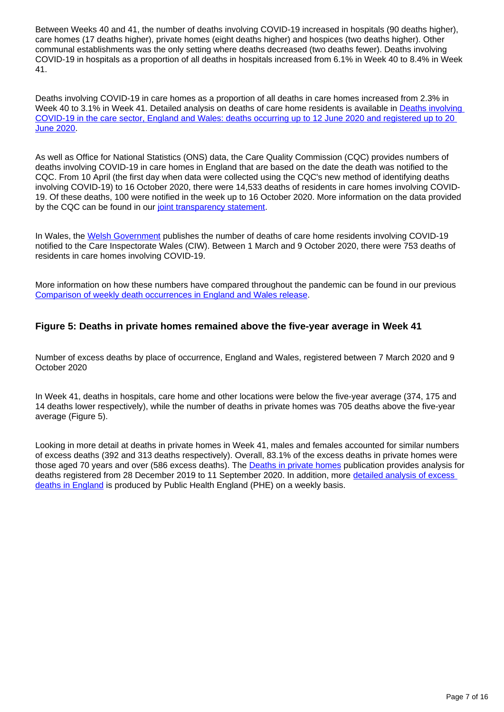Between Weeks 40 and 41, the number of deaths involving COVID-19 increased in hospitals (90 deaths higher), care homes (17 deaths higher), private homes (eight deaths higher) and hospices (two deaths higher). Other communal establishments was the only setting where deaths decreased (two deaths fewer). Deaths involving COVID-19 in hospitals as a proportion of all deaths in hospitals increased from 6.1% in Week 40 to 8.4% in Week 41.

Deaths involving COVID-19 in care homes as a proportion of all deaths in care homes increased from 2.3% in Week 40 to 3.1% in Week 41. Detailed analysis on deaths of care home residents is available in Deaths involving [COVID-19 in the care sector, England and Wales: deaths occurring up to 12 June 2020 and registered up to 20](https://www.ons.gov.uk/peoplepopulationandcommunity/birthsdeathsandmarriages/deaths/articles/deathsinvolvingcovid19inthecaresectorenglandandwales/deathsoccurringupto12june2020andregisteredupto20june2020provisional)  [June 2020](https://www.ons.gov.uk/peoplepopulationandcommunity/birthsdeathsandmarriages/deaths/articles/deathsinvolvingcovid19inthecaresectorenglandandwales/deathsoccurringupto12june2020andregisteredupto20june2020provisional).

As well as Office for National Statistics (ONS) data, the Care Quality Commission (CQC) provides numbers of deaths involving COVID-19 in care homes in England that are based on the date the death was notified to the CQC. From 10 April (the first day when data were collected using the CQC's new method of identifying deaths involving COVID-19) to 16 October 2020, there were 14,533 deaths of residents in care homes involving COVID-19. Of these deaths, 100 were notified in the week up to 16 October 2020. More information on the data provided by the CQC can be found in our [joint transparency statement](https://www.ons.gov.uk/news/statementsandletters/publicationofstatisticsondeathsinvolvingcovid19incarehomesinenglandtransparencystatement).

In Wales, the [Welsh Government](https://gov.wales/notifications-deaths-residents-related-covid-19-adult-care-homes) publishes the number of deaths of care home residents involving COVID-19 notified to the Care Inspectorate Wales (CIW). Between 1 March and 9 October 2020, there were 753 deaths of residents in care homes involving COVID-19.

More information on how these numbers have compared throughout the pandemic can be found in our previous [Comparison of weekly death occurrences in England and Wales release](https://www.ons.gov.uk/peoplepopulationandcommunity/healthandsocialcare/causesofdeath/articles/comparisonofweeklydeathoccurrencesinenglandandwales/latest).

### **Figure 5: Deaths in private homes remained above the five-year average in Week 41**

Number of excess deaths by place of occurrence, England and Wales, registered between 7 March 2020 and 9 October 2020

In Week 41, deaths in hospitals, care home and other locations were below the five-year average (374, 175 and 14 deaths lower respectively), while the number of deaths in private homes was 705 deaths above the five-year average (Figure 5).

Looking in more detail at deaths in private homes in Week 41, males and females accounted for similar numbers of excess deaths (392 and 313 deaths respectively). Overall, 83.1% of the excess deaths in private homes were those aged 70 years and over (586 excess deaths). The **Deaths in private homes** publication provides analysis for deaths registered from 28 December 2019 to 11 September 2020. In addition, more detailed analysis of excess [deaths in England](https://www.gov.uk/government/publications/excess-mortality-in-england-weekly-reports) is produced by Public Health England (PHE) on a weekly basis.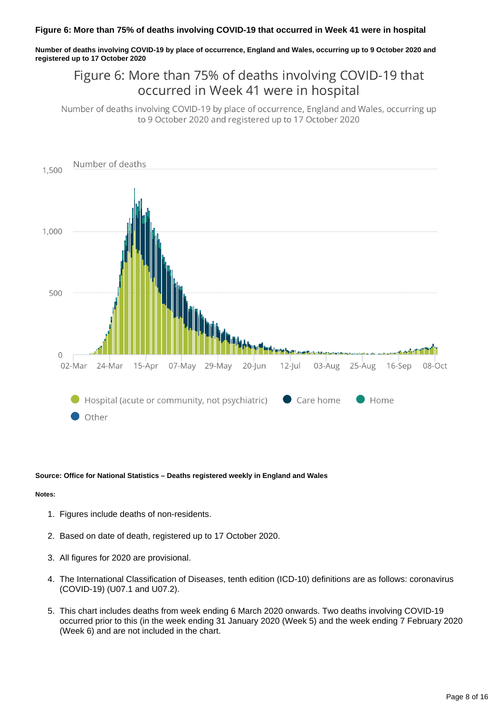#### **Figure 6: More than 75% of deaths involving COVID-19 that occurred in Week 41 were in hospital**

**Number of deaths involving COVID-19 by place of occurrence, England and Wales, occurring up to 9 October 2020 and registered up to 17 October 2020**

### Figure 6: More than 75% of deaths involving COVID-19 that occurred in Week 41 were in hospital

Number of deaths involving COVID-19 by place of occurrence, England and Wales, occurring up to 9 October 2020 and registered up to 17 October 2020



#### **Source: Office for National Statistics – Deaths registered weekly in England and Wales**

#### **Notes:**

- 1. Figures include deaths of non-residents.
- 2. Based on date of death, registered up to 17 October 2020.
- 3. All figures for 2020 are provisional.
- 4. The International Classification of Diseases, tenth edition (ICD-10) definitions are as follows: coronavirus (COVID-19) (U07.1 and U07.2).
- 5. This chart includes deaths from week ending 6 March 2020 onwards. Two deaths involving COVID-19 occurred prior to this (in the week ending 31 January 2020 (Week 5) and the week ending 7 February 2020 (Week 6) and are not included in the chart.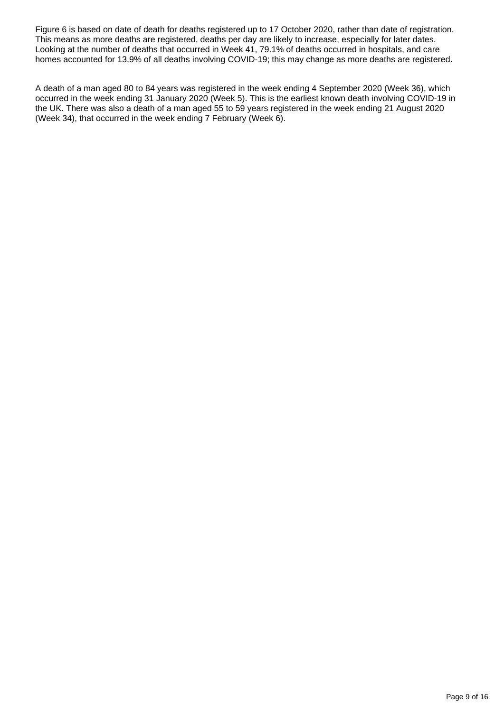Figure 6 is based on date of death for deaths registered up to 17 October 2020, rather than date of registration. This means as more deaths are registered, deaths per day are likely to increase, especially for later dates. Looking at the number of deaths that occurred in Week 41, 79.1% of deaths occurred in hospitals, and care homes accounted for 13.9% of all deaths involving COVID-19; this may change as more deaths are registered.

A death of a man aged 80 to 84 years was registered in the week ending 4 September 2020 (Week 36), which occurred in the week ending 31 January 2020 (Week 5). This is the earliest known death involving COVID-19 in the UK. There was also a death of a man aged 55 to 59 years registered in the week ending 21 August 2020 (Week 34), that occurred in the week ending 7 February (Week 6).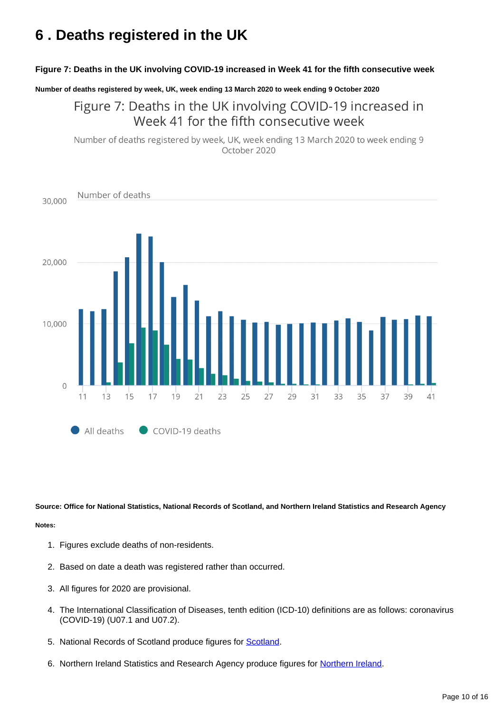## <span id="page-9-0"></span>**6 . Deaths registered in the UK**

#### **Figure 7: Deaths in the UK involving COVID-19 increased in Week 41 for the fifth consecutive week**

**Number of deaths registered by week, UK, week ending 13 March 2020 to week ending 9 October 2020**

Figure 7: Deaths in the UK involving COVID-19 increased in Week 41 for the fifth consecutive week

Number of deaths registered by week, UK, week ending 13 March 2020 to week ending 9 October 2020



**Source: Office for National Statistics, National Records of Scotland, and Northern Ireland Statistics and Research Agency**

#### **Notes:**

- 1. Figures exclude deaths of non-residents.
- 2. Based on date a death was registered rather than occurred.
- 3. All figures for 2020 are provisional.
- 4. The International Classification of Diseases, tenth edition (ICD-10) definitions are as follows: coronavirus (COVID-19) (U07.1 and U07.2).
- 5. National Records of [Scotland](https://www.nrscotland.gov.uk/statistics-and-data/statistics/statistics-by-theme/vital-events/general-publications/weekly-and-monthly-data-on-births-and-deaths-registered-in-scotland) produce figures for **Scotland**.
- 6. [Northern Ireland](https://www.nisra.gov.uk/publications/weekly-deaths) Statistics and Research Agency produce figures for Northern Ireland.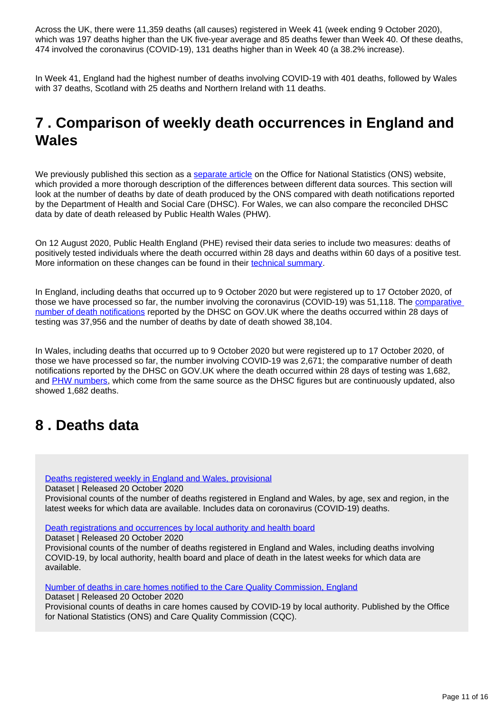Across the UK, there were 11,359 deaths (all causes) registered in Week 41 (week ending 9 October 2020), which was 197 deaths higher than the UK five-year average and 85 deaths fewer than Week 40. Of these deaths, 474 involved the coronavirus (COVID-19), 131 deaths higher than in Week 40 (a 38.2% increase).

In Week 41, England had the highest number of deaths involving COVID-19 with 401 deaths, followed by Wales with 37 deaths, Scotland with 25 deaths and Northern Ireland with 11 deaths.

## <span id="page-10-0"></span>**7 . Comparison of weekly death occurrences in England and Wales**

We previously published this section as a [separate article](https://www.ons.gov.uk/peoplepopulationandcommunity/healthandsocialcare/causesofdeath/articles/comparisonofweeklydeathoccurrencesinenglandandwales/previousReleases) on the Office for National Statistics (ONS) website, which provided a more thorough description of the differences between different data sources. This section will look at the number of deaths by date of death produced by the ONS compared with death notifications reported by the Department of Health and Social Care (DHSC). For Wales, we can also compare the reconciled DHSC data by date of death released by Public Health Wales (PHW).

On 12 August 2020, Public Health England (PHE) revised their data series to include two measures: deaths of positively tested individuals where the death occurred within 28 days and deaths within 60 days of a positive test. More information on these changes can be found in their [technical summary](https://www.gov.uk/government/publications/phe-data-series-on-deaths-in-people-with-covid-19-technical-summary).

In England, including deaths that occurred up to 9 October 2020 but were registered up to 17 October 2020, of those we have processed so far, the number involving the coronavirus (COVID-19) was 51,118. The [comparative](https://www.gov.uk/guidance/coronavirus-covid-19-information-for-the-public)  [number of death notifications](https://www.gov.uk/guidance/coronavirus-covid-19-information-for-the-public) reported by the DHSC on GOV.UK where the deaths occurred within 28 days of testing was 37,956 and the number of deaths by date of death showed 38,104.

In Wales, including deaths that occurred up to 9 October 2020 but were registered up to 17 October 2020, of those we have processed so far, the number involving COVID-19 was 2,671; the comparative number of death notifications reported by the DHSC on GOV.UK where the death occurred within 28 days of testing was 1,682, and [PHW numbers](https://public.tableau.com/profile/public.health.wales.health.protection#!/vizhome/RapidCOVID-19virology-Public/Headlinesummary), which come from the same source as the DHSC figures but are continuously updated, also showed 1,682 deaths.

### <span id="page-10-1"></span>**8 . Deaths data**

[Deaths registered weekly in England and Wales, provisional](https://www.ons.gov.uk/peoplepopulationandcommunity/birthsdeathsandmarriages/deaths/datasets/weeklyprovisionalfiguresondeathsregisteredinenglandandwales)

Dataset | Released 20 October 2020

Provisional counts of the number of deaths registered in England and Wales, by age, sex and region, in the latest weeks for which data are available. Includes data on coronavirus (COVID-19) deaths.

[Death registrations and occurrences by local authority and health board](https://www.ons.gov.uk/peoplepopulationandcommunity/healthandsocialcare/causesofdeath/datasets/deathregistrationsandoccurrencesbylocalauthorityandhealthboard)

Dataset | Released 20 October 2020

Provisional counts of the number of deaths registered in England and Wales, including deaths involving COVID-19, by local authority, health board and place of death in the latest weeks for which data are available.

[Number of deaths in care homes notified to the Care Quality Commission, England](https://www.ons.gov.uk/peoplepopulationandcommunity/birthsdeathsandmarriages/deaths/datasets/numberofdeathsincarehomesnotifiedtothecarequalitycommissionengland)

Dataset | Released 20 October 2020

Provisional counts of deaths in care homes caused by COVID-19 by local authority. Published by the Office for National Statistics (ONS) and Care Quality Commission (CQC).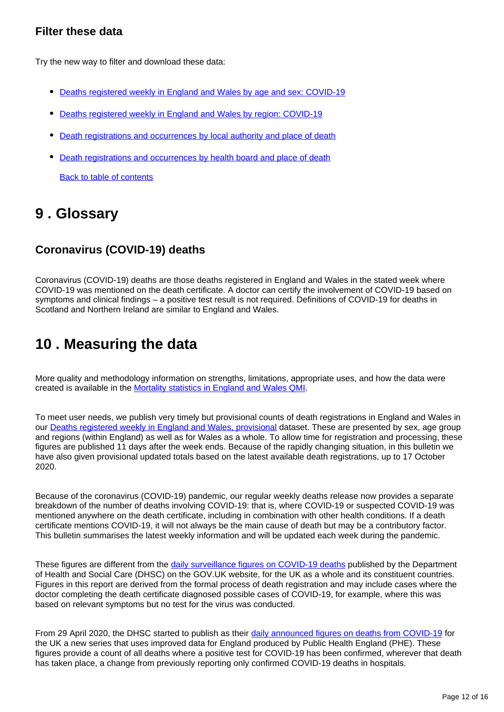### **Filter these data**

Try the new way to filter and download these data:

- [Deaths registered weekly in England and Wales by age and sex: COVID-19](https://www.ons.gov.uk/datasets/weekly-deaths-age-sex?%3Auri=weekly-deaths-age-sex%2F)
- [Deaths registered weekly in England and Wales by region: COVID-19](https://www.ons.gov.uk/datasets/weekly-deaths-region/)
- [Death registrations and occurrences by local authority and place of death](https://www.ons.gov.uk/datasets/weekly-deaths-local-authority/)
- [Death registrations and occurrences by health board and place of death](https://www.ons.gov.uk/datasets/weekly-deaths-health-board/editions/time-series/versions/7)

[Back to table of contents](https://www.ons.gov.uk/peoplepopulationandcommunity/birthsdeathsandmarriages/deaths/bulletins/deathsregisteredweeklyinenglandandwalesprovisional/latest#toc)

### <span id="page-11-0"></span>**9 . Glossary**

### **Coronavirus (COVID-19) deaths**

Coronavirus (COVID-19) deaths are those deaths registered in England and Wales in the stated week where COVID-19 was mentioned on the death certificate. A doctor can certify the involvement of COVID-19 based on symptoms and clinical findings – a positive test result is not required. Definitions of COVID-19 for deaths in Scotland and Northern Ireland are similar to England and Wales.

## <span id="page-11-1"></span>**10 . Measuring the data**

More quality and methodology information on strengths, limitations, appropriate uses, and how the data were created is available in the [Mortality statistics in England and Wales QMI.](https://www.ons.gov.uk/peoplepopulationandcommunity/birthsdeathsandmarriages/deaths/methodologies/mortalitystatisticsinenglandandwalesqmi)

To meet user needs, we publish very timely but provisional counts of death registrations in England and Wales in our [Deaths registered weekly in England and Wales, provisional](https://www.ons.gov.uk/peoplepopulationandcommunity/birthsdeathsandmarriages/deaths/datasets/weeklyprovisionalfiguresondeathsregisteredinenglandandwales) dataset. These are presented by sex, age group and regions (within England) as well as for Wales as a whole. To allow time for registration and processing, these figures are published 11 days after the week ends. Because of the rapidly changing situation, in this bulletin we have also given provisional updated totals based on the latest available death registrations, up to 17 October 2020.

Because of the coronavirus (COVID-19) pandemic, our regular weekly deaths release now provides a separate breakdown of the number of deaths involving COVID-19: that is, where COVID-19 or suspected COVID-19 was mentioned anywhere on the death certificate, including in combination with other health conditions. If a death certificate mentions COVID-19, it will not always be the main cause of death but may be a contributory factor. This bulletin summarises the latest weekly information and will be updated each week during the pandemic.

These figures are different from the [daily surveillance figures on COVID-19 deaths](https://www.gov.uk/guidance/coronavirus-covid-19-information-for-the-public) published by the Department of Health and Social Care (DHSC) on the GOV.UK website, for the UK as a whole and its constituent countries. Figures in this report are derived from the formal process of death registration and may include cases where the doctor completing the death certificate diagnosed possible cases of COVID-19, for example, where this was based on relevant symptoms but no test for the virus was conducted.

From 29 April 2020, the DHSC started to publish as their [daily announced figures on deaths from COVID-19](https://www.gov.uk/guidance/coronavirus-covid-19-information-for-the-public) for the UK a new series that uses improved data for England produced by Public Health England (PHE). These figures provide a count of all deaths where a positive test for COVID-19 has been confirmed, wherever that death has taken place, a change from previously reporting only confirmed COVID-19 deaths in hospitals.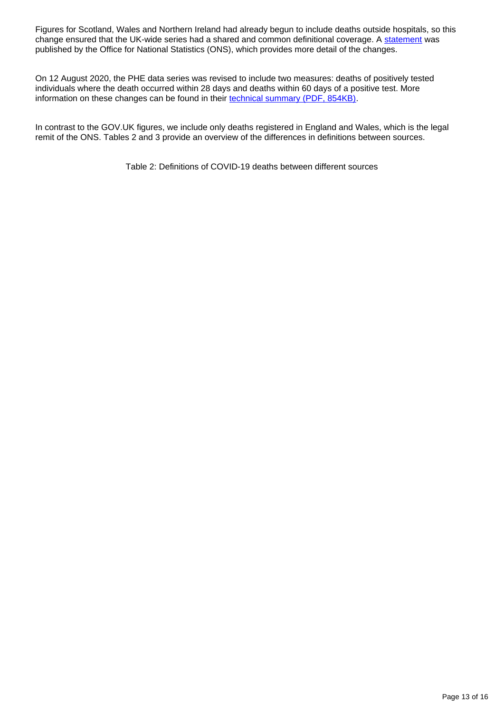Figures for Scotland, Wales and Northern Ireland had already begun to include deaths outside hospitals, so this change ensured that the UK-wide series had a shared and common definitional coverage. A [statement](https://www.ons.gov.uk/news/statementsandletters/thedifferentusesoffiguresondeathsfromcovid19publishedbydhscandtheons) was published by the Office for National Statistics (ONS), which provides more detail of the changes.

On 12 August 2020, the PHE data series was revised to include two measures: deaths of positively tested individuals where the death occurred within 28 days and deaths within 60 days of a positive test. More information on these changes can be found in their [technical summary \(PDF, 854KB\).](https://assets.publishing.service.gov.uk/government/uploads/system/uploads/attachment_data/file/908781/Technical_Summary_PHE_Data_Series_COVID-19_Deaths_20200812.pdf)

In contrast to the GOV.UK figures, we include only deaths registered in England and Wales, which is the legal remit of the ONS. Tables 2 and 3 provide an overview of the differences in definitions between sources.

Table 2: Definitions of COVID-19 deaths between different sources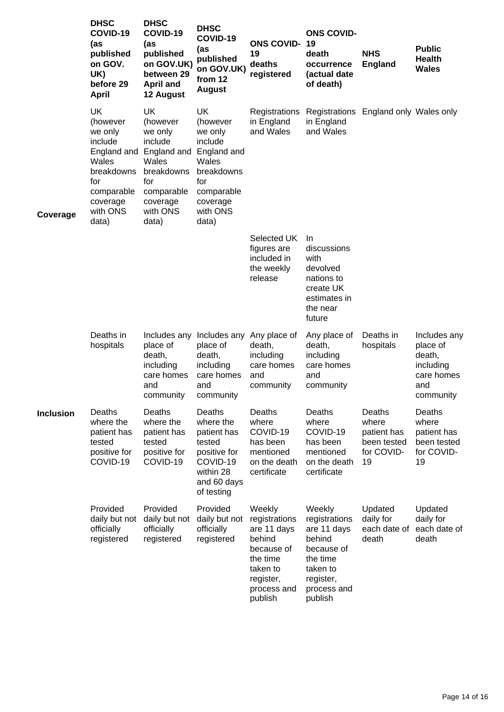|                  | <b>DHSC</b><br>COVID-19<br>(as<br>published<br>on GOV.<br>UK)<br>before 29<br>April                                                     | <b>DHSC</b><br>COVID-19<br>(as<br>published<br>on GOV.UK)<br>between 29<br><b>April and</b><br>12 August                         | <b>DHSC</b><br>COVID-19<br>(as<br>published<br>on GOV.UK)<br>from 12<br><b>August</b>                                            | <b>ONS COVID-19</b><br>19<br>deaths<br>registered                                                                             | <b>ONS COVID-</b><br>death<br>occurrence<br>(actual date<br>of death)                                                         | <b>NHS</b><br><b>England</b>                                      | <b>Public</b><br><b>Health</b><br><b>Wales</b>                                    |
|------------------|-----------------------------------------------------------------------------------------------------------------------------------------|----------------------------------------------------------------------------------------------------------------------------------|----------------------------------------------------------------------------------------------------------------------------------|-------------------------------------------------------------------------------------------------------------------------------|-------------------------------------------------------------------------------------------------------------------------------|-------------------------------------------------------------------|-----------------------------------------------------------------------------------|
| Coverage         | <b>UK</b><br>(however<br>we only<br>include<br>England and<br>Wales<br>breakdowns<br>for<br>comparable<br>coverage<br>with ONS<br>data) | UK<br>(however<br>we only<br>include<br>England and<br>Wales<br>breakdowns<br>for<br>comparable<br>coverage<br>with ONS<br>data) | UK<br>(however<br>we only<br>include<br>England and<br>Wales<br>breakdowns<br>for<br>comparable<br>coverage<br>with ONS<br>data) | Registrations<br>in England<br>and Wales                                                                                      | Registrations England only Wales only<br>in England<br>and Wales                                                              |                                                                   |                                                                                   |
|                  |                                                                                                                                         |                                                                                                                                  |                                                                                                                                  | Selected UK<br>figures are<br>included in<br>the weekly<br>release                                                            | In.<br>discussions<br>with<br>devolved<br>nations to<br>create UK<br>estimates in<br>the near<br>future                       |                                                                   |                                                                                   |
|                  | Deaths in<br>hospitals                                                                                                                  | Includes any<br>place of<br>death,<br>including<br>care homes<br>and<br>community                                                | Includes any Any place of<br>place of<br>death,<br>including<br>care homes<br>and<br>community                                   | death,<br>including<br>care homes<br>and<br>community                                                                         | Any place of<br>death,<br>including<br>care homes<br>and<br>community                                                         | Deaths in<br>hospitals                                            | Includes any<br>place of<br>death,<br>including<br>care homes<br>and<br>community |
| <b>Inclusion</b> | Deaths<br>where the<br>patient has<br>tested<br>positive for<br>COVID-19                                                                | Deaths<br>where the<br>patient has<br>tested<br>positive for<br>COVID-19                                                         | Deaths<br>where the<br>patient has<br>tested<br>positive for<br>COVID-19<br>within 28<br>and 60 days<br>of testing               | Deaths<br>where<br>COVID-19<br>has been<br>mentioned<br>on the death<br>certificate                                           | Deaths<br>where<br>COVID-19<br>has been<br>mentioned<br>on the death<br>certificate                                           | Deaths<br>where<br>patient has<br>been tested<br>for COVID-<br>19 | Deaths<br>where<br>patient has<br>been tested<br>for COVID-<br>19                 |
|                  | Provided<br>daily but not<br>officially<br>registered                                                                                   | Provided<br>daily but not<br>officially<br>registered                                                                            | Provided<br>daily but not<br>officially<br>registered                                                                            | Weekly<br>registrations<br>are 11 days<br>behind<br>because of<br>the time<br>taken to<br>register,<br>process and<br>publish | Weekly<br>registrations<br>are 11 days<br>behind<br>because of<br>the time<br>taken to<br>register,<br>process and<br>publish | Updated<br>daily for<br>each date of<br>death                     | Updated<br>daily for<br>each date of<br>death                                     |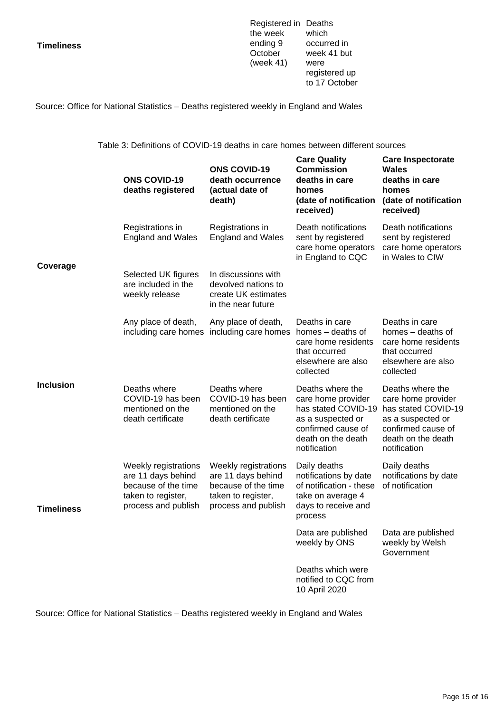**Timeliness**

Registered in Deaths the week ending 9 October (week 41) were which occurred in week 41 but registered up to 17 October

Source: Office for National Statistics – Deaths registered weekly in England and Wales

Table 3: Definitions of COVID-19 deaths in care homes between different sources

|                   | <b>ONS COVID-19</b><br>deaths registered                                                                       | <b>ONS COVID-19</b><br>death occurrence<br>(actual date of<br>death)                                           | <b>Care Quality</b><br><b>Commission</b><br>deaths in care<br>homes<br>(date of notification<br>received)                                      | <b>Care Inspectorate</b><br><b>Wales</b><br>deaths in care<br>homes<br>(date of notification<br>received)                                      |
|-------------------|----------------------------------------------------------------------------------------------------------------|----------------------------------------------------------------------------------------------------------------|------------------------------------------------------------------------------------------------------------------------------------------------|------------------------------------------------------------------------------------------------------------------------------------------------|
| Coverage          | Registrations in<br><b>England and Wales</b>                                                                   | Registrations in<br><b>England and Wales</b>                                                                   | Death notifications<br>sent by registered<br>care home operators<br>in England to CQC                                                          | Death notifications<br>sent by registered<br>care home operators<br>in Wales to CIW                                                            |
|                   | Selected UK figures<br>are included in the<br>weekly release                                                   | In discussions with<br>devolved nations to<br>create UK estimates<br>in the near future                        |                                                                                                                                                |                                                                                                                                                |
|                   | Any place of death,<br>including care homes                                                                    | Any place of death,<br>including care homes                                                                    | Deaths in care<br>homes – deaths of<br>care home residents<br>that occurred<br>elsewhere are also<br>collected                                 | Deaths in care<br>homes - deaths of<br>care home residents<br>that occurred<br>elsewhere are also<br>collected                                 |
| <b>Inclusion</b>  | Deaths where<br>COVID-19 has been<br>mentioned on the<br>death certificate                                     | Deaths where<br>COVID-19 has been<br>mentioned on the<br>death certificate                                     | Deaths where the<br>care home provider<br>has stated COVID-19<br>as a suspected or<br>confirmed cause of<br>death on the death<br>notification | Deaths where the<br>care home provider<br>has stated COVID-19<br>as a suspected or<br>confirmed cause of<br>death on the death<br>notification |
| <b>Timeliness</b> | Weekly registrations<br>are 11 days behind<br>because of the time<br>taken to register,<br>process and publish | Weekly registrations<br>are 11 days behind<br>because of the time<br>taken to register,<br>process and publish | Daily deaths<br>notifications by date<br>of notification - these<br>take on average 4<br>days to receive and<br>process                        | Daily deaths<br>notifications by date<br>of notification                                                                                       |
|                   |                                                                                                                |                                                                                                                | Data are published  Data are published<br>weekly by ONS                                                                                        | weekly by Welsh<br>Government                                                                                                                  |
|                   |                                                                                                                |                                                                                                                | Deaths which were<br>notified to CQC from<br>10 April 2020                                                                                     |                                                                                                                                                |

Source: Office for National Statistics – Deaths registered weekly in England and Wales